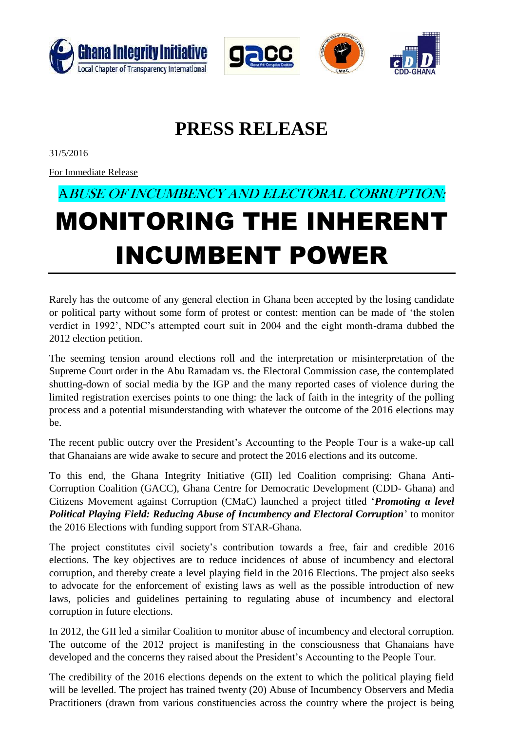





## **PRESS RELEASE**

31/5/2016

For Immediate Release

## ABUSE OF INCUMBENCY AND ELECTORAL CORRUPTION: MONITORING THE INHERENT INCUMBENT POWER

Rarely has the outcome of any general election in Ghana been accepted by the losing candidate or political party without some form of protest or contest: mention can be made of 'the stolen verdict in 1992', NDC's attempted court suit in 2004 and the eight month-drama dubbed the 2012 election petition.

The seeming tension around elections roll and the interpretation or misinterpretation of the Supreme Court order in the Abu Ramadam vs. the Electoral Commission case, the contemplated shutting-down of social media by the IGP and the many reported cases of violence during the limited registration exercises points to one thing: the lack of faith in the integrity of the polling process and a potential misunderstanding with whatever the outcome of the 2016 elections may be.

The recent public outcry over the President's Accounting to the People Tour is a wake-up call that Ghanaians are wide awake to secure and protect the 2016 elections and its outcome.

To this end, the Ghana Integrity Initiative (GII) led Coalition comprising: Ghana Anti-Corruption Coalition (GACC), Ghana Centre for Democratic Development (CDD- Ghana) and Citizens Movement against Corruption (CMaC) launched a project titled '*Promoting a level Political Playing Field: Reducing Abuse of Incumbency and Electoral Corruption*' to monitor the 2016 Elections with funding support from STAR-Ghana.

The project constitutes civil society's contribution towards a free, fair and credible 2016 elections. The key objectives are to reduce incidences of abuse of incumbency and electoral corruption, and thereby create a level playing field in the 2016 Elections. The project also seeks to advocate for the enforcement of existing laws as well as the possible introduction of new laws, policies and guidelines pertaining to regulating abuse of incumbency and electoral corruption in future elections.

In 2012, the GII led a similar Coalition to monitor abuse of incumbency and electoral corruption. The outcome of the 2012 project is manifesting in the consciousness that Ghanaians have developed and the concerns they raised about the President's Accounting to the People Tour.

The credibility of the 2016 elections depends on the extent to which the political playing field will be levelled. The project has trained twenty (20) Abuse of Incumbency Observers and Media Practitioners (drawn from various constituencies across the country where the project is being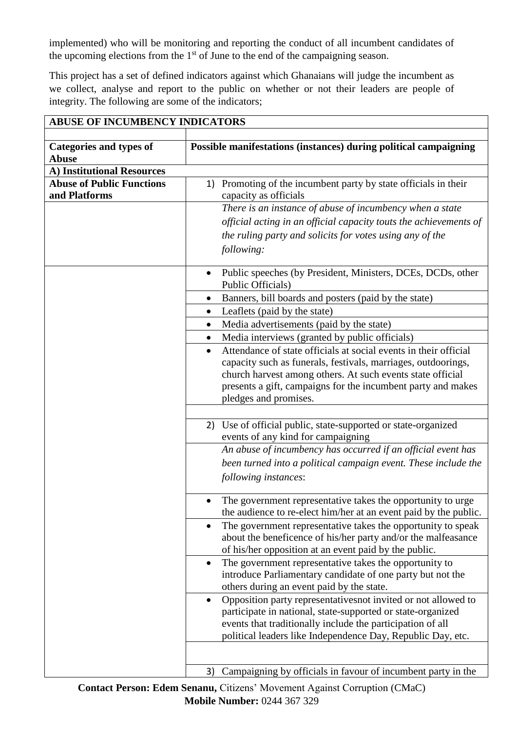implemented) who will be monitoring and reporting the conduct of all incumbent candidates of the upcoming elections from the  $1<sup>st</sup>$  of June to the end of the campaigning season.

This project has a set of defined indicators against which Ghanaians will judge the incumbent as we collect, analyse and report to the public on whether or not their leaders are people of integrity. The following are some of the indicators;

| <b>ABUSE OF INCUMBENCY INDICATORS</b>             |                                                                                                                                                                                                                                                                                                                                         |  |  |  |
|---------------------------------------------------|-----------------------------------------------------------------------------------------------------------------------------------------------------------------------------------------------------------------------------------------------------------------------------------------------------------------------------------------|--|--|--|
| <b>Categories and types of</b><br>Abuse           | Possible manifestations (instances) during political campaigning                                                                                                                                                                                                                                                                        |  |  |  |
| A) Institutional Resources                        |                                                                                                                                                                                                                                                                                                                                         |  |  |  |
| <b>Abuse of Public Functions</b><br>and Platforms | Promoting of the incumbent party by state officials in their<br>1)<br>capacity as officials                                                                                                                                                                                                                                             |  |  |  |
|                                                   | There is an instance of abuse of incumbency when a state                                                                                                                                                                                                                                                                                |  |  |  |
|                                                   | official acting in an official capacity touts the achievements of<br>the ruling party and solicits for votes using any of the<br>following:                                                                                                                                                                                             |  |  |  |
|                                                   | Public speeches (by President, Ministers, DCEs, DCDs, other<br>Public Officials)                                                                                                                                                                                                                                                        |  |  |  |
|                                                   | Banners, bill boards and posters (paid by the state)<br>$\bullet$                                                                                                                                                                                                                                                                       |  |  |  |
|                                                   | Leaflets (paid by the state)<br>٠                                                                                                                                                                                                                                                                                                       |  |  |  |
|                                                   | Media advertisements (paid by the state)<br>$\bullet$                                                                                                                                                                                                                                                                                   |  |  |  |
|                                                   | Media interviews (granted by public officials)<br>$\bullet$                                                                                                                                                                                                                                                                             |  |  |  |
|                                                   | Attendance of state officials at social events in their official<br>$\bullet$<br>capacity such as funerals, festivals, marriages, outdoorings,<br>church harvest among others. At such events state official<br>presents a gift, campaigns for the incumbent party and makes<br>pledges and promises.                                   |  |  |  |
|                                                   | 2) Use of official public, state-supported or state-organized<br>events of any kind for campaigning<br>An abuse of incumbency has occurred if an official event has<br>been turned into a political campaign event. These include the                                                                                                   |  |  |  |
|                                                   | following instances:                                                                                                                                                                                                                                                                                                                    |  |  |  |
|                                                   | The government representative takes the opportunity to urge.<br>the audience to re-elect him/her at an event paid by the public.<br>The government representative takes the opportunity to speak<br>$\bullet$<br>about the beneficence of his/her party and/or the malfeasance<br>of his/her opposition at an event paid by the public. |  |  |  |
|                                                   | The government representative takes the opportunity to<br>$\bullet$<br>introduce Parliamentary candidate of one party but not the<br>others during an event paid by the state.                                                                                                                                                          |  |  |  |
|                                                   | Opposition party representatives not invited or not allowed to<br>$\bullet$<br>participate in national, state-supported or state-organized<br>events that traditionally include the participation of all<br>political leaders like Independence Day, Republic Day, etc.                                                                 |  |  |  |
|                                                   | Campaigning by officials in favour of incumbent party in the<br>3)                                                                                                                                                                                                                                                                      |  |  |  |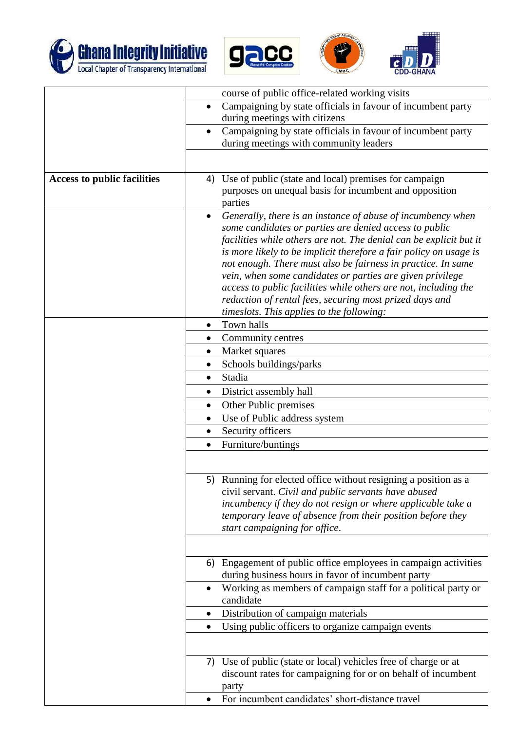





|                                    | course of public office-related working visits                     |  |
|------------------------------------|--------------------------------------------------------------------|--|
| $\bullet$                          | Campaigning by state officials in favour of incumbent party        |  |
|                                    | during meetings with citizens                                      |  |
| $\bullet$                          | Campaigning by state officials in favour of incumbent party        |  |
|                                    | during meetings with community leaders                             |  |
|                                    |                                                                    |  |
|                                    |                                                                    |  |
| <b>Access to public facilities</b> | 4) Use of public (state and local) premises for campaign           |  |
|                                    | purposes on unequal basis for incumbent and opposition<br>parties  |  |
| $\bullet$                          | Generally, there is an instance of abuse of incumbency when        |  |
|                                    | some candidates or parties are denied access to public             |  |
|                                    | facilities while others are not. The denial can be explicit but it |  |
|                                    | is more likely to be implicit therefore a fair policy on usage is  |  |
|                                    | not enough. There must also be fairness in practice. In same       |  |
|                                    | vein, when some candidates or parties are given privilege          |  |
|                                    | access to public facilities while others are not, including the    |  |
|                                    | reduction of rental fees, securing most prized days and            |  |
|                                    | timeslots. This applies to the following:                          |  |
| $\bullet$                          | Town halls                                                         |  |
| $\bullet$                          | Community centres                                                  |  |
| $\bullet$                          | Market squares                                                     |  |
| $\bullet$                          | Schools buildings/parks                                            |  |
| $\bullet$                          | Stadia                                                             |  |
| $\bullet$                          | District assembly hall                                             |  |
| ٠                                  | Other Public premises                                              |  |
| $\bullet$                          | Use of Public address system                                       |  |
| $\bullet$                          | Security officers                                                  |  |
| $\bullet$                          | Furniture/buntings                                                 |  |
|                                    |                                                                    |  |
|                                    |                                                                    |  |
|                                    | 5) Running for elected office without resigning a position as a    |  |
|                                    | civil servant. Civil and public servants have abused               |  |
|                                    | incumbency if they do not resign or where applicable take a        |  |
|                                    | temporary leave of absence from their position before they         |  |
|                                    | start campaigning for office.                                      |  |
|                                    |                                                                    |  |
| 6)                                 | Engagement of public office employees in campaign activities       |  |
|                                    | during business hours in favor of incumbent party                  |  |
| $\bullet$                          | Working as members of campaign staff for a political party or      |  |
|                                    | candidate                                                          |  |
| ٠                                  | Distribution of campaign materials                                 |  |
| $\bullet$                          | Using public officers to organize campaign events                  |  |
|                                    |                                                                    |  |
|                                    | 7) Use of public (state or local) vehicles free of charge or at    |  |
|                                    | discount rates for campaigning for or on behalf of incumbent       |  |
|                                    | party                                                              |  |
|                                    | For incumbent candidates' short-distance travel                    |  |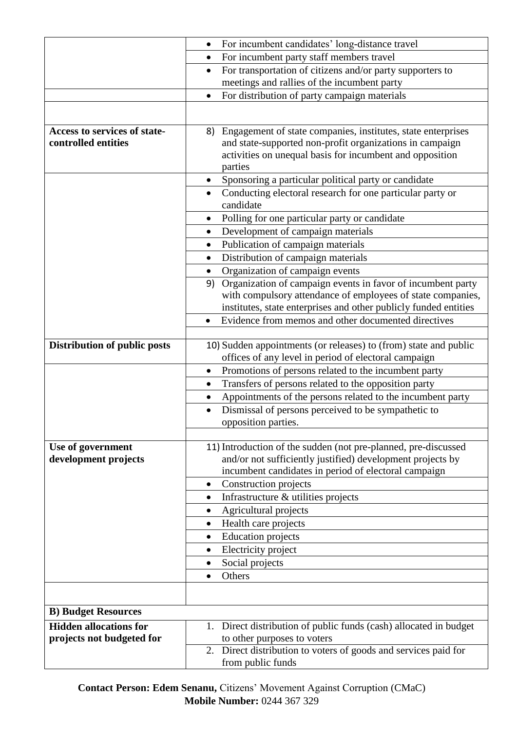|                               | For incumbent candidates' long-distance travel                                                                           |  |  |
|-------------------------------|--------------------------------------------------------------------------------------------------------------------------|--|--|
|                               | For incumbent party staff members travel<br>$\bullet$                                                                    |  |  |
|                               | For transportation of citizens and/or party supporters to<br>$\bullet$                                                   |  |  |
|                               | meetings and rallies of the incumbent party                                                                              |  |  |
|                               | For distribution of party campaign materials                                                                             |  |  |
|                               |                                                                                                                          |  |  |
| Access to services of state-  | Engagement of state companies, institutes, state enterprises<br>8)                                                       |  |  |
| controlled entities           | and state-supported non-profit organizations in campaign                                                                 |  |  |
|                               | activities on unequal basis for incumbent and opposition                                                                 |  |  |
|                               | parties                                                                                                                  |  |  |
|                               | Sponsoring a particular political party or candidate<br>٠                                                                |  |  |
|                               | Conducting electoral research for one particular party or<br>candidate                                                   |  |  |
|                               | Polling for one particular party or candidate                                                                            |  |  |
|                               | Development of campaign materials<br>$\bullet$                                                                           |  |  |
|                               | Publication of campaign materials<br>$\bullet$                                                                           |  |  |
|                               | Distribution of campaign materials<br>$\bullet$                                                                          |  |  |
|                               | Organization of campaign events                                                                                          |  |  |
|                               | Organization of campaign events in favor of incumbent party<br>9)                                                        |  |  |
|                               | with compulsory attendance of employees of state companies,                                                              |  |  |
|                               | institutes, state enterprises and other publicly funded entities<br>Evidence from memos and other documented directives  |  |  |
|                               | $\bullet$                                                                                                                |  |  |
| Distribution of public posts  | 10) Sudden appointments (or releases) to (from) state and public<br>offices of any level in period of electoral campaign |  |  |
|                               | Promotions of persons related to the incumbent party<br>$\bullet$                                                        |  |  |
|                               | Transfers of persons related to the opposition party<br>$\bullet$                                                        |  |  |
|                               | Appointments of the persons related to the incumbent party<br>$\bullet$                                                  |  |  |
|                               | Dismissal of persons perceived to be sympathetic to<br>$\bullet$                                                         |  |  |
|                               | opposition parties.                                                                                                      |  |  |
|                               |                                                                                                                          |  |  |
| Use of government             | 11) Introduction of the sudden (not pre-planned, pre-discussed                                                           |  |  |
| development projects          | and/or not sufficiently justified) development projects by                                                               |  |  |
|                               | incumbent candidates in period of electoral campaign                                                                     |  |  |
|                               | Construction projects<br>$\bullet$<br>Infrastructure & utilities projects                                                |  |  |
|                               | $\bullet$<br>Agricultural projects<br>$\bullet$                                                                          |  |  |
|                               | Health care projects<br>٠                                                                                                |  |  |
|                               | <b>Education</b> projects                                                                                                |  |  |
|                               | Electricity project                                                                                                      |  |  |
|                               | Social projects                                                                                                          |  |  |
|                               | Others<br>$\bullet$                                                                                                      |  |  |
|                               |                                                                                                                          |  |  |
| <b>B) Budget Resources</b>    |                                                                                                                          |  |  |
| <b>Hidden allocations for</b> | 1. Direct distribution of public funds (cash) allocated in budget                                                        |  |  |
| projects not budgeted for     | to other purposes to voters                                                                                              |  |  |
|                               | Direct distribution to voters of goods and services paid for<br>2.                                                       |  |  |
|                               | from public funds                                                                                                        |  |  |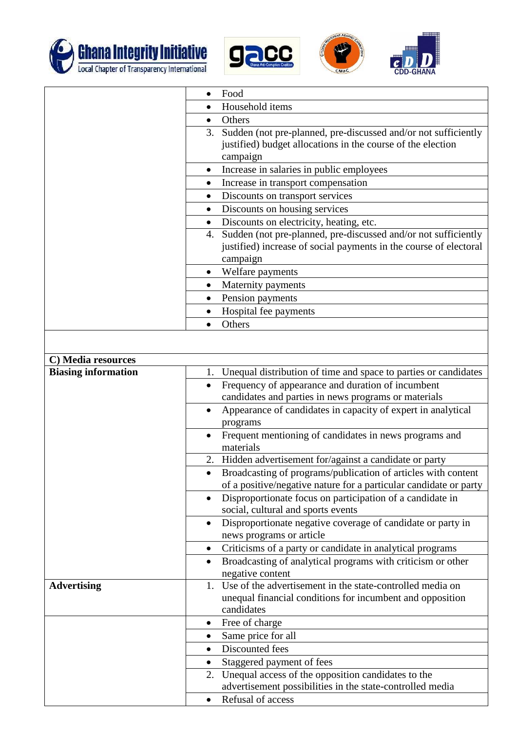





|                            | Food                                                                                                                                                  |  |  |
|----------------------------|-------------------------------------------------------------------------------------------------------------------------------------------------------|--|--|
|                            | Household items                                                                                                                                       |  |  |
|                            | Others                                                                                                                                                |  |  |
|                            | Sudden (not pre-planned, pre-discussed and/or not sufficiently<br>3.<br>justified) budget allocations in the course of the election<br>campaign       |  |  |
|                            | Increase in salaries in public employees<br>$\bullet$                                                                                                 |  |  |
|                            | Increase in transport compensation<br>$\bullet$                                                                                                       |  |  |
|                            | Discounts on transport services                                                                                                                       |  |  |
|                            | Discounts on housing services                                                                                                                         |  |  |
|                            | Discounts on electricity, heating, etc.                                                                                                               |  |  |
|                            | Sudden (not pre-planned, pre-discussed and/or not sufficiently<br>4.<br>justified) increase of social payments in the course of electoral<br>campaign |  |  |
|                            | Welfare payments<br>$\bullet$                                                                                                                         |  |  |
|                            | Maternity payments<br>٠                                                                                                                               |  |  |
|                            | Pension payments                                                                                                                                      |  |  |
|                            | Hospital fee payments                                                                                                                                 |  |  |
|                            | Others<br>$\bullet$                                                                                                                                   |  |  |
|                            |                                                                                                                                                       |  |  |
|                            |                                                                                                                                                       |  |  |
| C) Media resources         |                                                                                                                                                       |  |  |
| <b>Biasing information</b> | Unequal distribution of time and space to parties or candidates<br>1.                                                                                 |  |  |
|                            | Frequency of appearance and duration of incumbent<br>$\bullet$<br>candidates and parties in news programs or materials                                |  |  |
|                            | Appearance of candidates in capacity of expert in analytical<br>programs                                                                              |  |  |
|                            | Frequent mentioning of candidates in news programs and<br>$\bullet$<br>materials                                                                      |  |  |
|                            | Hidden advertisement for/against a candidate or party<br>2.                                                                                           |  |  |
|                            | Broadcasting of programs/publication of articles with content<br>$\bullet$                                                                            |  |  |
|                            | of a positive/negative nature for a particular candidate or party                                                                                     |  |  |
|                            | Disproportionate focus on participation of a candidate in<br>$\bullet$<br>social, cultural and sports events                                          |  |  |
|                            | Disproportionate negative coverage of candidate or party in<br>$\bullet$<br>news programs or article                                                  |  |  |
|                            | Criticisms of a party or candidate in analytical programs                                                                                             |  |  |
|                            | Broadcasting of analytical programs with criticism or other<br>$\bullet$                                                                              |  |  |
|                            | negative content                                                                                                                                      |  |  |
| <b>Advertising</b>         | 1. Use of the advertisement in the state-controlled media on                                                                                          |  |  |
|                            | unequal financial conditions for incumbent and opposition<br>candidates                                                                               |  |  |
|                            | Free of charge<br>$\bullet$                                                                                                                           |  |  |
|                            | Same price for all<br>$\bullet$                                                                                                                       |  |  |
|                            | Discounted fees<br>$\bullet$                                                                                                                          |  |  |
|                            | Staggered payment of fees<br>٠                                                                                                                        |  |  |
|                            | 2. Unequal access of the opposition candidates to the                                                                                                 |  |  |
|                            | advertisement possibilities in the state-controlled media                                                                                             |  |  |
|                            | Refusal of access<br>$\bullet$                                                                                                                        |  |  |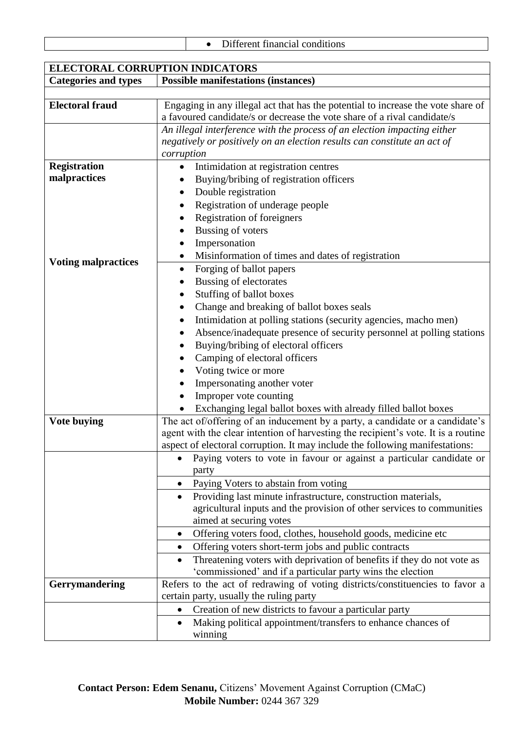|  |  |  | Different financial conditions |
|--|--|--|--------------------------------|
|--|--|--|--------------------------------|

| <b>ELECTORAL CORRUPTION INDICATORS</b> |                                                                                                                                                                     |  |  |  |
|----------------------------------------|---------------------------------------------------------------------------------------------------------------------------------------------------------------------|--|--|--|
| <b>Categories and types</b>            | <b>Possible manifestations (instances)</b>                                                                                                                          |  |  |  |
|                                        |                                                                                                                                                                     |  |  |  |
| <b>Electoral fraud</b>                 | Engaging in any illegal act that has the potential to increase the vote share of                                                                                    |  |  |  |
|                                        | a favoured candidate/s or decrease the vote share of a rival candidate/s                                                                                            |  |  |  |
|                                        | An illegal interference with the process of an election impacting either                                                                                            |  |  |  |
|                                        | negatively or positively on an election results can constitute an act of                                                                                            |  |  |  |
|                                        | corruption                                                                                                                                                          |  |  |  |
| <b>Registration</b>                    | Intimidation at registration centres<br>٠                                                                                                                           |  |  |  |
| malpractices                           | Buying/bribing of registration officers                                                                                                                             |  |  |  |
|                                        | Double registration<br>٠                                                                                                                                            |  |  |  |
|                                        | Registration of underage people                                                                                                                                     |  |  |  |
|                                        | <b>Registration of foreigners</b><br>$\bullet$                                                                                                                      |  |  |  |
|                                        | <b>Bussing of voters</b><br>$\bullet$                                                                                                                               |  |  |  |
|                                        | Impersonation                                                                                                                                                       |  |  |  |
|                                        | Misinformation of times and dates of registration<br>$\bullet$                                                                                                      |  |  |  |
| <b>Voting malpractices</b>             | Forging of ballot papers<br>٠                                                                                                                                       |  |  |  |
|                                        | Bussing of electorates                                                                                                                                              |  |  |  |
|                                        | Stuffing of ballot boxes                                                                                                                                            |  |  |  |
|                                        | Change and breaking of ballot boxes seals<br>$\bullet$                                                                                                              |  |  |  |
|                                        | Intimidation at polling stations (security agencies, macho men)<br>٠                                                                                                |  |  |  |
|                                        | Absence/inadequate presence of security personnel at polling stations<br>٠                                                                                          |  |  |  |
|                                        | Buying/bribing of electoral officers                                                                                                                                |  |  |  |
|                                        | Camping of electoral officers                                                                                                                                       |  |  |  |
|                                        | Voting twice or more                                                                                                                                                |  |  |  |
|                                        | Impersonating another voter                                                                                                                                         |  |  |  |
|                                        | Improper vote counting                                                                                                                                              |  |  |  |
|                                        | Exchanging legal ballot boxes with already filled ballot boxes                                                                                                      |  |  |  |
| <b>Vote buying</b>                     |                                                                                                                                                                     |  |  |  |
|                                        | The act of/offering of an inducement by a party, a candidate or a candidate's<br>agent with the clear intention of harvesting the recipient's vote. It is a routine |  |  |  |
|                                        | aspect of electoral corruption. It may include the following manifestations:                                                                                        |  |  |  |
|                                        | Paying voters to vote in favour or against a particular candidate or                                                                                                |  |  |  |
|                                        | party                                                                                                                                                               |  |  |  |
|                                        | Paying Voters to abstain from voting<br>$\bullet$                                                                                                                   |  |  |  |
|                                        |                                                                                                                                                                     |  |  |  |
|                                        | Providing last minute infrastructure, construction materials,                                                                                                       |  |  |  |
|                                        | agricultural inputs and the provision of other services to communities<br>aimed at securing votes                                                                   |  |  |  |
|                                        |                                                                                                                                                                     |  |  |  |
|                                        | Offering voters food, clothes, household goods, medicine etc.<br>٠                                                                                                  |  |  |  |
|                                        | Offering voters short-term jobs and public contracts                                                                                                                |  |  |  |
|                                        | Threatening voters with deprivation of benefits if they do not vote as                                                                                              |  |  |  |
|                                        | 'commissioned' and if a particular party wins the election                                                                                                          |  |  |  |
| <b>Gerrymandering</b>                  | Refers to the act of redrawing of voting districts/constituencies to favor a                                                                                        |  |  |  |
|                                        | certain party, usually the ruling party                                                                                                                             |  |  |  |
|                                        | Creation of new districts to favour a particular party                                                                                                              |  |  |  |
|                                        | Making political appointment/transfers to enhance chances of                                                                                                        |  |  |  |
|                                        | winning                                                                                                                                                             |  |  |  |